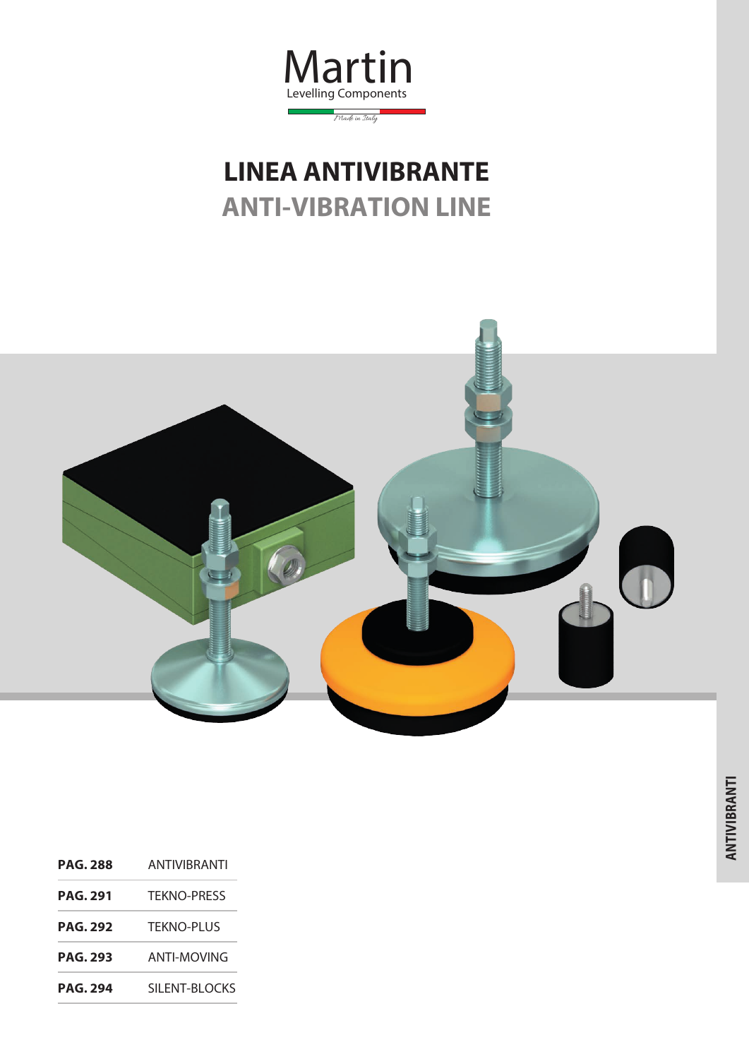

# **LINEA ANTIVIBRANTE ANTI-VIBRATION LINE**



**PAG. 288** ANTIVIBRANTI **PAG. 291** TEKNO-PRESS **PAG. 292** TEKNO-PLUS **PAG. 293** ANTI-MOVING **PAG. 294** SILENT-BLOCKS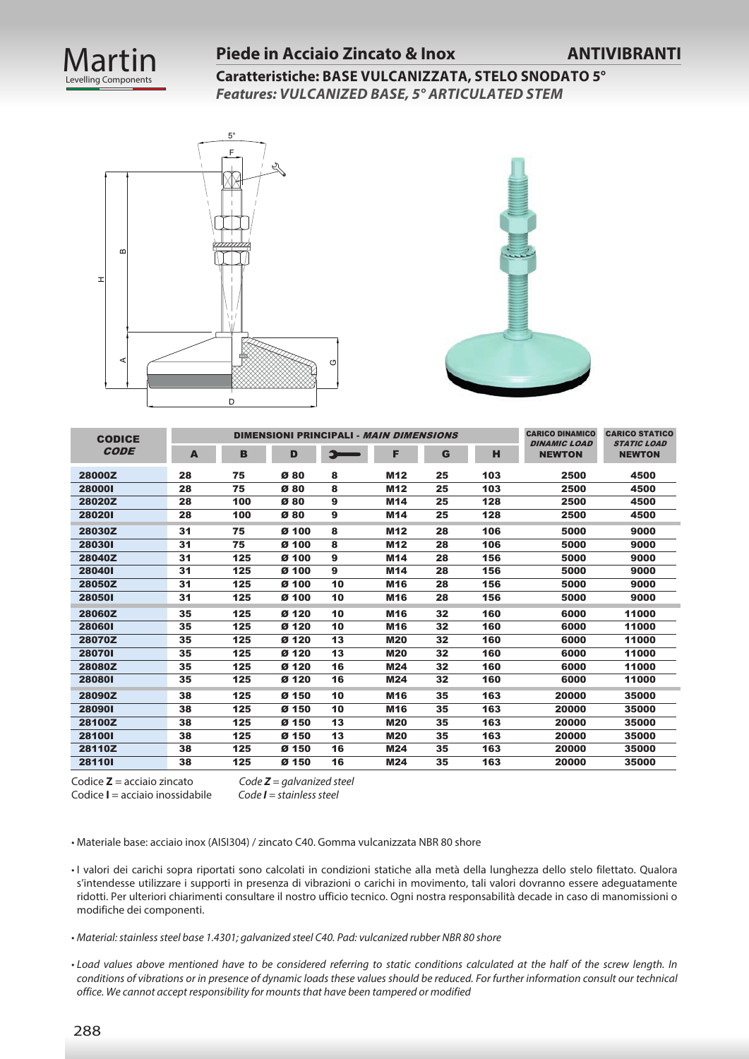

#### **Piede in Acciaio Zincato & Inox ANTIVIBRANTI**

**Caratteristiche: BASE VULCANIZZATA, STELO SNODATO 5°** *Features: VULCANIZED BASE, 5° ARTICULATED STEM* 





| <b>CODICE</b> |    |     |                  |    | DIMENSIONI PRINCIPALI - MAIN DIMENSIONS |    |     | <b>CARICO DINAMICO</b><br><b>DINAMIC LOAD</b> | <b>CARICO STATICO</b><br><b>STATIC LOAD</b> |
|---------------|----|-----|------------------|----|-----------------------------------------|----|-----|-----------------------------------------------|---------------------------------------------|
| <b>CODE</b>   | A  | B   | D                | Э  | F                                       | G  | н   | <b>NEWTON</b>                                 | <b>NEWTON</b>                               |
| 28000Z        | 28 | 75  | Ø80              | 8  | M <sub>12</sub>                         | 25 | 103 | 2500                                          | 4500                                        |
| 280001        | 28 | 75  | Ø80              | 8  | M <sub>12</sub>                         | 25 | 103 | 2500                                          | 4500                                        |
| 28020Z        | 28 | 100 | Ø80              | 9  | M14                                     | 25 | 128 | 2500                                          | 4500                                        |
| 280201        | 28 | 100 | Ø80              | 9  | M14                                     | 25 | 128 | 2500                                          | 4500                                        |
| 28030Z        | 31 | 75  | Ø <sub>100</sub> | 8  | M <sub>12</sub>                         | 28 | 106 | 5000                                          | 9000                                        |
| 280301        | 31 | 75  | Ø <sub>100</sub> | 8  | M <sub>12</sub>                         | 28 | 106 | 5000                                          | 9000                                        |
| 28040Z        | 31 | 125 | Ø <sub>100</sub> | 9  | M14                                     | 28 | 156 | 5000                                          | 9000                                        |
| 280401        | 31 | 125 | Ø <sub>100</sub> | 9  | M14                                     | 28 | 156 | 5000                                          | 9000                                        |
| 28050Z        | 31 | 125 | Ø <sub>100</sub> | 10 | M <sub>16</sub>                         | 28 | 156 | 5000                                          | 9000                                        |
| 280501        | 31 | 125 | Ø 100            | 10 | <b>M16</b>                              | 28 | 156 | 5000                                          | 9000                                        |
| 28060Z        | 35 | 125 | Ø 120            | 10 | M <sub>16</sub>                         | 32 | 160 | 6000                                          | 11000                                       |
| 280601        | 35 | 125 | Ø <sub>120</sub> | 10 | M16                                     | 32 | 160 | 6000                                          | 11000                                       |
| 28070Z        | 35 | 125 | Ø <sub>120</sub> | 13 | <b>M20</b>                              | 32 | 160 | 6000                                          | 11000                                       |
| 280701        | 35 | 125 | Ø <sub>120</sub> | 13 | <b>M20</b>                              | 32 | 160 | 6000                                          | 11000                                       |
| 28080Z        | 35 | 125 | Ø <sub>120</sub> | 16 | M24                                     | 32 | 160 | 6000                                          | 11000                                       |
| 280801        | 35 | 125 | Ø <sub>120</sub> | 16 | M24                                     | 32 | 160 | 6000                                          | 11000                                       |
| 28090Z        | 38 | 125 | Ø 150            | 10 | M <sub>16</sub>                         | 35 | 163 | 20000                                         | 35000                                       |
| 280901        | 38 | 125 | Ø 150            | 10 | M16                                     | 35 | 163 | 20000                                         | 35000                                       |
| 28100Z        | 38 | 125 | Ø 150            | 13 | <b>M20</b>                              | 35 | 163 | 20000                                         | 35000                                       |
| 281001        | 38 | 125 | Ø 150            | 13 | <b>M20</b>                              | 35 | 163 | 20000                                         | 35000                                       |
| 28110Z        | 38 | 125 | Ø 150            | 16 | <b>M24</b>                              | 35 | 163 | 20000                                         | 35000                                       |
| 281101        | 38 | 125 | Ø 150            | 16 | M24                                     | 35 | 163 | 20000                                         | 35000                                       |

Codice **Z** = acciaio zincato *Code Z = galvanized steel* Codice **I** = acciaio inossidabile *Code I = stainless steel*

• Materiale base: acciaio inox (AISI304) / zincato C40. Gomma vulcanizzata NBR 80 shore

• I valori dei carichi sopra riportati sono calcolati in condizioni statiche alla metà della lunghezza dello stelo filettato. Qualora s'intendesse utilizzare i supporti in presenza di vibrazioni o carichi in movimento, tali valori dovranno essere adeguatamente ridotti. Per ulteriori chiarimenti consultare il nostro ufficio tecnico. Ogni nostra responsabilità decade in caso di manomissioni o modifiche dei componenti.

- *Material: stainless steel base 1.4301; galvanized steel C40. Pad: vulcanized rubber NBR 80 shore*
- *Load values above mentioned have to be considered referring to static conditions calculated at the half of the screw length. In conditions of vibrations or in presence of dynamic loads these values should be reduced. For further information consult our technical office. We cannot accept responsibility for mounts that have been tampered or modified*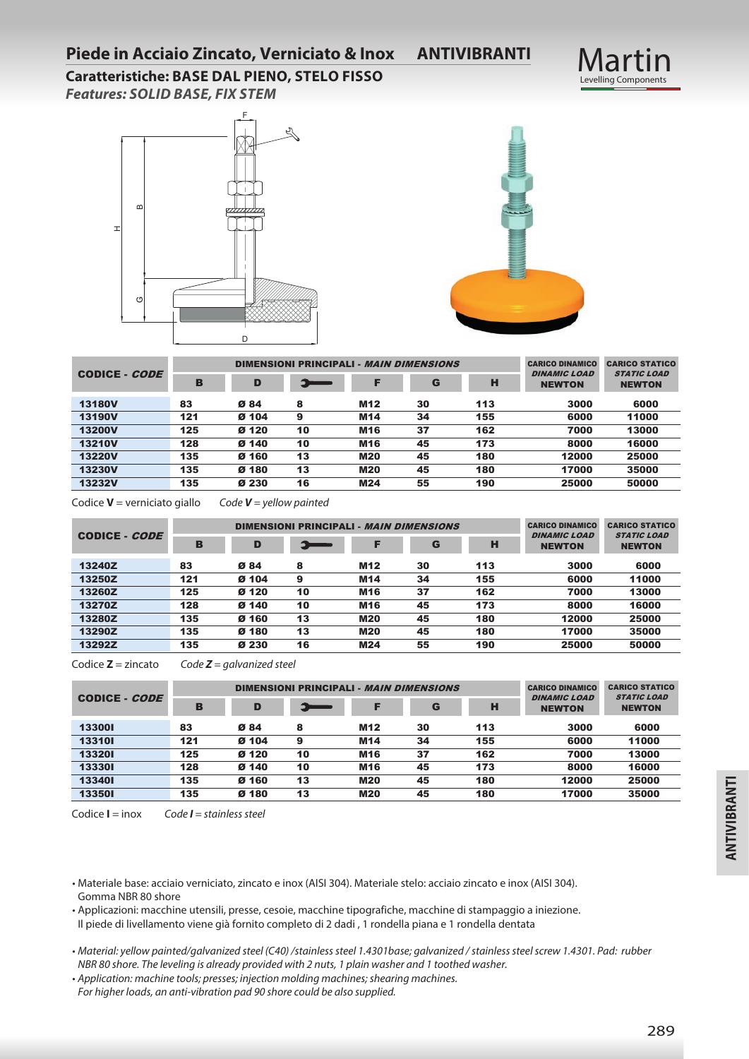#### **Piede in Acciaio Zincato, Verniciato & Inox ANTIVIBRANTI**

# Martin<br>Levelling Components

**Caratteristiche: BASE DAL PIENO, STELO FISSO** *Features: SOLID BASE, FIX STEM*





|                      |     |                  |    |                 | <b>DIMENSIONI PRINCIPALI - MAIN DIMENSIONS</b> |     | <b>CARICO DINAMICO</b>               | <b>CARICO STATICO</b>               |
|----------------------|-----|------------------|----|-----------------|------------------------------------------------|-----|--------------------------------------|-------------------------------------|
| CODICE - <i>CODE</i> | В   | D                |    | F               | G                                              | н   | <b>DINAMIC LOAD</b><br><b>NEWTON</b> | <b>STATIC LOAD</b><br><b>NEWTON</b> |
| <b>13180V</b>        | 83  | Ø84              | 8  | M <sub>12</sub> | 30                                             | 113 | 3000                                 | 6000                                |
| <b>13190V</b>        | 121 | Ø 104            | 9  | M14             | 34                                             | 155 | 6000                                 | 11000                               |
| <b>13200V</b>        | 125 | Ø 120            | 10 | <b>M16</b>      | 37                                             | 162 | 7000                                 | 13000                               |
| <b>13210V</b>        | 128 | Ø 140            | 10 | M16             | 45                                             | 173 | 8000                                 | 16000                               |
| <b>13220V</b>        | 135 | Ø 160            | 13 | <b>M20</b>      | 45                                             | 180 | 12000                                | 25000                               |
| <b>13230V</b>        | 135 | Ø <sub>180</sub> | 13 | <b>M20</b>      | 45                                             | 180 | 17000                                | 35000                               |
| <b>13232V</b>        | 135 | Ø 230            | 16 | M24             | 55                                             | 190 | 25000                                | 50000                               |

Codice **V** = verniciato giallo *Code V = yellow painted* 

|               |     |       |    | DIMENSIONI PRINCIPALI - MAIN DIMENSIONS |    |     | <b>CARICO DINAMICO</b>               | <b>CARICO STATICO</b>               |
|---------------|-----|-------|----|-----------------------------------------|----|-----|--------------------------------------|-------------------------------------|
| CODICE - CODE | В   | D     | -- |                                         | G  | н   | <b>DINAMIC LOAD</b><br><b>NEWTON</b> | <b>STATIC LOAD</b><br><b>NEWTON</b> |
| 13240Z        | 83  | Ø84   | 8  | M <sub>12</sub>                         | 30 | 113 | 3000                                 | 6000                                |
| 13250Z        | 121 | Ø 104 | 9  | M14                                     | 34 | 155 | 6000                                 | 11000                               |
| 13260Z        | 125 | Ø 120 | 10 | M <sub>16</sub>                         | 37 | 162 | 7000                                 | 13000                               |
| 13270Z        | 128 | Ø 140 | 10 | M <sub>16</sub>                         | 45 | 173 | 8000                                 | 16000                               |
| 13280Z        | 135 | Ø 160 | 13 | <b>M20</b>                              | 45 | 180 | 12000                                | 25000                               |
| 13290Z        | 135 | Ø 180 | 13 | <b>M20</b>                              | 45 | 180 | 17000                                | 35000                               |
| 13292Z        | 135 | Ø 230 | 16 | M24                                     | 55 | 190 | 25000                                | 50000                               |

Codice **Z** = zincato *Code Z = galvanized steel*

|                      |     |       | <b>DIMENSIONI PRINCIPALI - MAIN DIMENSIONS</b> |                 |    |     | <b>CARICO DINAMICO</b>               | <b>CARICO STATICO</b><br><b>STATIC LOAD</b><br><b>NEWTON</b> |
|----------------------|-----|-------|------------------------------------------------|-----------------|----|-----|--------------------------------------|--------------------------------------------------------------|
| CODICE - <i>CODE</i> | в   | D     | <b>The Company's Service</b>                   |                 | G  | н   | <b>DINAMIC LOAD</b><br><b>NEWTON</b> |                                                              |
| 133001               | 83  | Ø84   | 8                                              | M <sub>12</sub> | 30 | 113 | 3000                                 | 6000                                                         |
| 133101               | 121 | Ø 104 | 9                                              | M <sub>14</sub> | 34 | 155 | 6000                                 | 11000                                                        |
| 133201               | 125 | Ø 120 | 10                                             | M <sub>16</sub> | 37 | 162 | 7000                                 | 13000                                                        |
| 133301               | 128 | Ø 140 | 10                                             | M <sub>16</sub> | 45 | 173 | 8000                                 | 16000                                                        |
| 133401               | 135 | Ø 160 | 13                                             | <b>M20</b>      | 45 | 180 | 12000                                | 25000                                                        |
| 133501               | 135 | Ø 180 | 13                                             | <b>M20</b>      | 45 | 180 | 17000                                | 35000                                                        |

Codice **I** = inox *Code I = stainless steel*

• Materiale base: acciaio verniciato, zincato e inox (AISI 304). Materiale stelo: acciaio zincato e inox (AISI 304). Gomma NBR 80 shore

• Applicazioni: macchine utensili, presse, cesoie, macchine tipografiche, macchine di stampaggio a iniezione. Il piede di livellamento viene già fornito completo di 2 dadi , 1 rondella piana e 1 rondella dentata

• *Material: yellow painted/galvanized steel (C40) /stainless steel 1.4301base; galvanized / stainless steel screw 1.4301. Pad: rubber NBR 80 shore. The leveling is already provided with 2 nuts, 1 plain washer and 1 toothed washer.*

• *Application: machine tools; presses; injection molding machines; shearing machines.*

*For higher loads, an anti-vibration pad 90 shore could be also supplied.*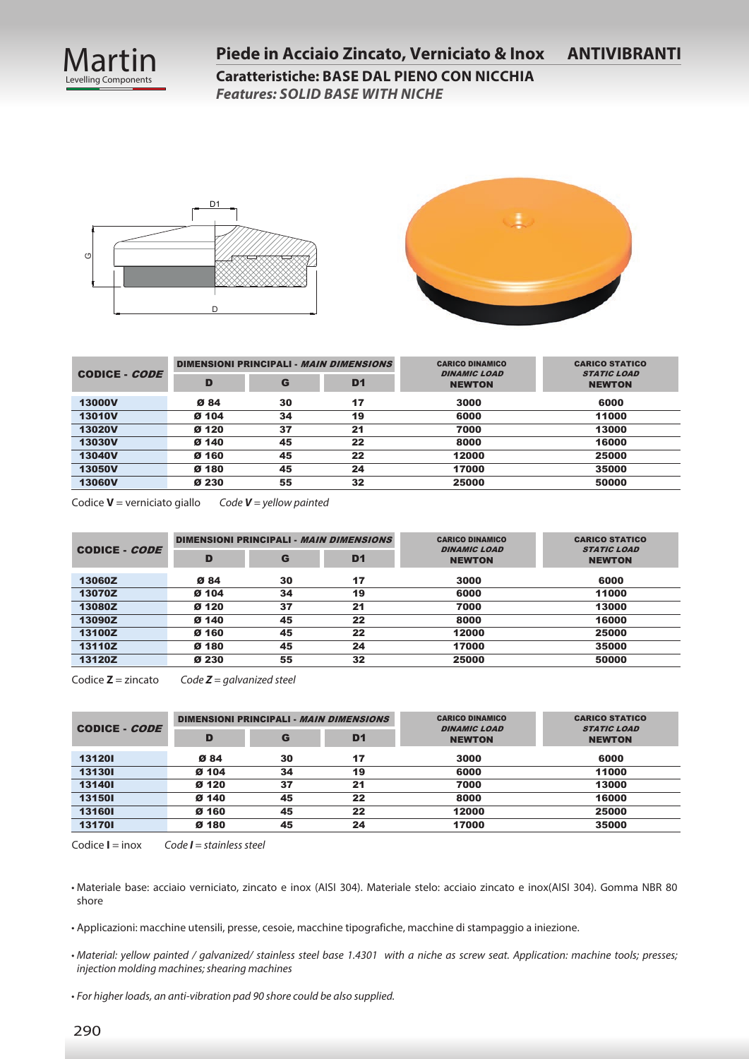





|                      |       |    | DIMENSIONI PRINCIPALI - <i>MAIN DIMENSIONS</i> | <b>CARICO DINAMICO</b>               | <b>CARICO STATICO</b>               |
|----------------------|-------|----|------------------------------------------------|--------------------------------------|-------------------------------------|
| CODICE - <i>CODE</i> | D     | G  | D <sub>1</sub>                                 | <b>DINAMIC LOAD</b><br><b>NEWTON</b> | <b>STATIC LOAD</b><br><b>NEWTON</b> |
| <b>13000V</b>        | Ø84   | 30 | 17                                             | 3000                                 | 6000                                |
| <b>13010V</b>        | Ø 104 | 34 | 19                                             | 6000                                 | 11000                               |
| <b>13020V</b>        | Ø 120 | 37 | 21                                             | 7000                                 | 13000                               |
| <b>13030V</b>        | Ø 140 | 45 | 22                                             | 8000                                 | 16000                               |
| <b>13040V</b>        | Ø 160 | 45 | 22                                             | 12000                                | 25000                               |
| <b>13050V</b>        | Ø 180 | 45 | 24                                             | 17000                                | 35000                               |
| <b>13060V</b>        | Ø 230 | 55 | 32                                             | 25000                                | 50000                               |

Codice **V** = verniciato giallo *Code V = yellow painted* 

|               |       |    | DIMENSIONI PRINCIPALI - <i>MAIN DIMENSIONS</i> | <b>CARICO DINAMICO</b>               | <b>CARICO STATICO</b>               |
|---------------|-------|----|------------------------------------------------|--------------------------------------|-------------------------------------|
| CODICE - CODE | D     | G  | D <sub>1</sub>                                 | <b>DINAMIC LOAD</b><br><b>NEWTON</b> | <b>STATIC LOAD</b><br><b>NEWTON</b> |
| 13060Z        | Ø 84  | 30 | 17                                             | 3000                                 | 6000                                |
| 13070Z        | Ø 104 | 34 | 19                                             | 6000                                 | 11000                               |
| 13080Z        | Ø 120 | 37 | 21                                             | 7000                                 | 13000                               |
| 13090Z        | Ø 140 | 45 | 22                                             | 8000                                 | 16000                               |
| 13100Z        | Ø 160 | 45 | 22                                             | 12000                                | 25000                               |
| 13110Z        | Ø 180 | 45 | 24                                             | 17000                                | 35000                               |
| 13120Z        | Ø 230 | 55 | 32                                             | 25000                                | 50000                               |

Codice **Z** = zincato *Code Z = galvanized steel*

|               |       | DIMENSIONI PRINCIPALI - MAIN DIMENSIONS |                | <b>CARICO DINAMICO</b>               | <b>CARICO STATICO</b>               |
|---------------|-------|-----------------------------------------|----------------|--------------------------------------|-------------------------------------|
| CODICE - CODE | D     | G                                       | D <sub>1</sub> | <b>DINAMIC LOAD</b><br><b>NEWTON</b> | <b>STATIC LOAD</b><br><b>NEWTON</b> |
| 131201        | Ø84   | 30                                      | 17             | 3000                                 | 6000                                |
| 131301        | Ø 104 | 34                                      | 19             | 6000                                 | 11000                               |
| 131401        | Ø 120 | 37                                      | 21             | 7000                                 | 13000                               |
| 131501        | Ø 140 | 45                                      | 22             | 8000                                 | 16000                               |
| 131601        | Ø 160 | 45                                      | 22             | 12000                                | 25000                               |
| 131701        | Ø 180 | 45                                      | 24             | 17000                                | 35000                               |

Codice **I** = inox *Code I = stainless steel*

• Materiale base: acciaio verniciato, zincato e inox (AISI 304). Materiale stelo: acciaio zincato e inox(AISI 304). Gomma NBR 80 shore

• Applicazioni: macchine utensili, presse, cesoie, macchine tipografiche, macchine di stampaggio a iniezione.

• *Material: yellow painted / galvanized/ stainless steel base 1.4301 with a niche as screw seat. Application: machine tools; presses; injection molding machines; shearing machines*

• *For higher loads, an anti-vibration pad 90 shore could be also supplied.*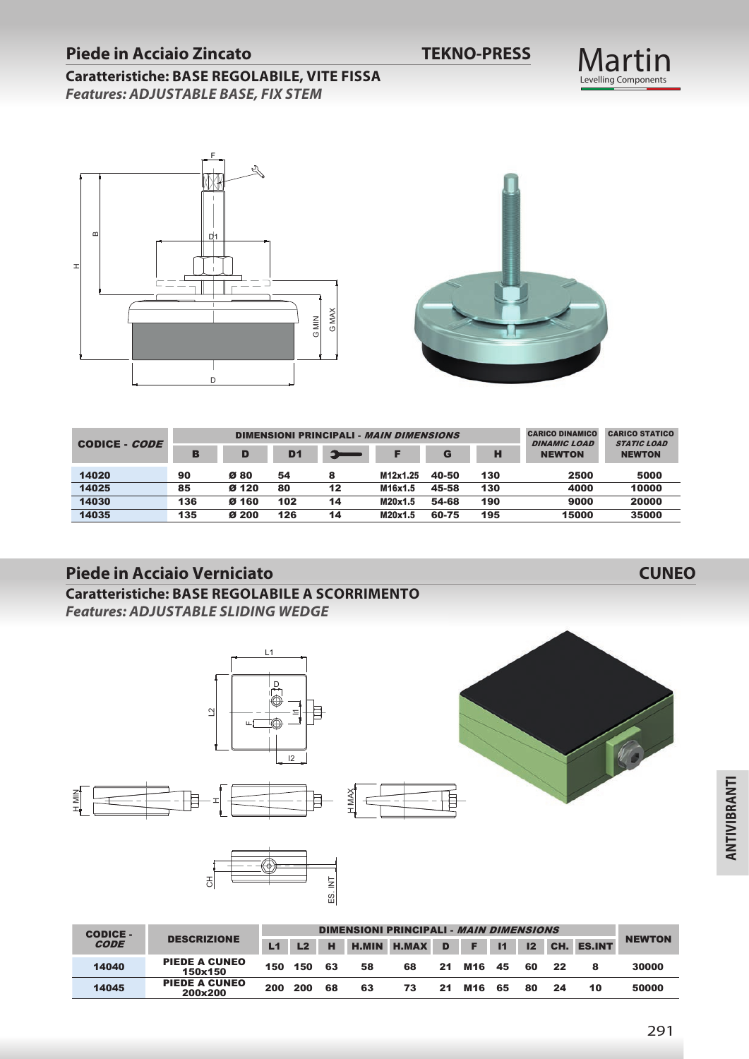#### **Piede in Acciaio Zincato TEKNO-PRESS**

#### **Caratteristiche: BASE REGOLABILE, VITE FISSA** *Features: ADJUSTABLE BASE, FIX STEM*





| CODICE - CODE |     |       |                | <b>DIMENSIONI PRINCIPALI - MAIN DIMENSIONS</b> |          |       |     | <b>CARICO DINAMICO</b><br><b>DINAMIC LOAD</b> | <b>CARICO STATICO</b><br><b>STATIC LOAD</b> |
|---------------|-----|-------|----------------|------------------------------------------------|----------|-------|-----|-----------------------------------------------|---------------------------------------------|
|               | в   | D     | D <sub>1</sub> | --                                             |          | G     | н   | <b>NEWTON</b>                                 | <b>NEWTON</b>                               |
| 14020         | 90  | Ø80   | 54             | 8                                              | M12x1.25 | 40-50 | 130 | 2500                                          | 5000                                        |
| 14025         | 85  | Ø 120 | 80             | 12                                             | M16x1.5  | 45-58 | 130 | 4000                                          | 10000                                       |
| 14030         | 136 | Ø 160 | 102            | 14                                             | M20x1.5  | 54-68 | 190 | 9000                                          | 20000                                       |
| 14035         | 135 | Ø 200 | 126            | 14                                             | M20x1.5  | 60-75 | 195 | 15000                                         | 35000                                       |

#### **Piede in Acciaio Verniciato CUNEO**

**Caratteristiche: BASE REGOLABILE A SCORRIMENTO** *Features: ADJUSTABLE SLIDING WEDGE*



| <b>CODICE -</b> | <b>DESCRIZIONE</b><br><b>CODE</b> |     | <b>DIMENSIONI PRINCIPALI - MAIN DIMENSIONS</b> |    |    |                      |    |          |                |    |     |            |               |
|-----------------|-----------------------------------|-----|------------------------------------------------|----|----|----------------------|----|----------|----------------|----|-----|------------|---------------|
|                 |                                   | L1  | L <sub>2</sub>                                 | н  |    | <b>H.MIN H.MAX D</b> |    | <b>F</b> | $\blacksquare$ | 12 |     | CH. ES.INT | <b>NEWTON</b> |
| 14040           | <b>PIEDE A CUNEO</b><br>150x150   | 150 | 150                                            | 63 | 58 | 68                   | 21 | M16      | 45             | 60 | -22 | 8          | 30000         |
| 14045           | <b>PIEDE A CUNEO</b><br>200x200   | 200 | 200                                            | 68 | 63 | 73                   | 21 | M16      | 65             | 80 | 24  | 10         | 50000         |

Martin<br>Levelling Components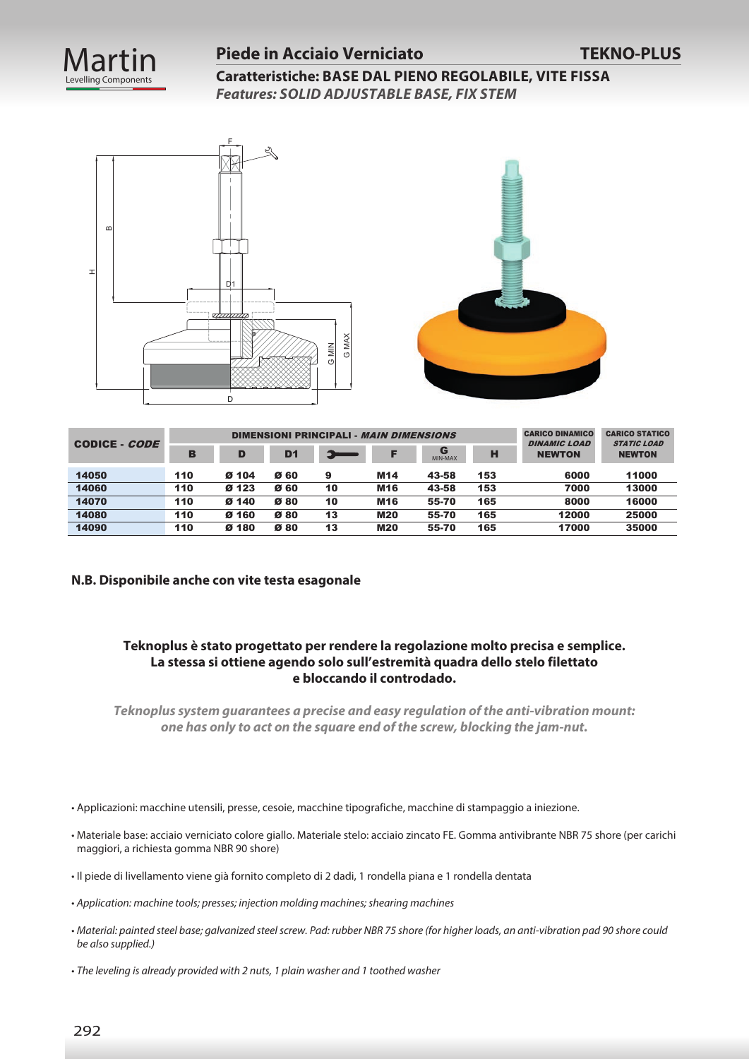

#### **Piede in Acciaio Verniciato TEKNO-PLUS**

**Caratteristiche: BASE DAL PIENO REGOLABILE, VITE FISSA** *Features: SOLID ADJUSTABLE BASE, FIX STEM*





| CODICE - CODE |     |       |      | DIMENSIONI PRINCIPALI - MAIN DIMENSIONS |                 |              |     | <b>CARICO DINAMICO</b><br><b>DINAMIC LOAD</b> | <b>CARICO STATICO</b><br><b>STATIC LOAD</b> |
|---------------|-----|-------|------|-----------------------------------------|-----------------|--------------|-----|-----------------------------------------------|---------------------------------------------|
|               | в   | D     | D1   | ا ها                                    |                 | G<br>MIN-MAX | н   | <b>NEWTON</b>                                 | <b>NEWTON</b>                               |
| 14050         | 110 | Ø 104 | Ø 60 | 9                                       | M14             | 43-58        | 153 | 6000                                          | 11000                                       |
| 14060         | 110 | Ø 123 | Ø 60 | 10                                      | M <sub>16</sub> | 43-58        | 153 | 7000                                          | 13000                                       |
| 14070         | 110 | Ø 140 | Ø80  | 10                                      | M <sub>16</sub> | 55-70        | 165 | 8000                                          | 16000                                       |
| 14080         | 110 | Ø 160 | Ø80  | 13                                      | <b>M20</b>      | 55-70        | 165 | 12000                                         | 25000                                       |
| 14090         | 110 | Ø 180 | Ø80  | 13                                      | <b>M20</b>      | 55-70        | 165 | 17000                                         | 35000                                       |

#### **N.B. Disponibile anche con vite testa esagonale**

#### **Teknoplus è stato progettato per rendere la regolazione molto precisa e semplice. La stessa si ottiene agendo solo sull'estremità quadra dello stelo filettato e bloccando il controdado.**

*Teknoplus system guarantees a precise and easy regulation of the anti-vibration mount: one has only to act on the square end of the screw, blocking the jam-nut.*

- Applicazioni: macchine utensili, presse, cesoie, macchine tipografiche, macchine di stampaggio a iniezione.
- Materiale base: acciaio verniciato colore giallo. Materiale stelo: acciaio zincato FE. Gomma antivibrante NBR 75 shore (per carichi maggiori, a richiesta gomma NBR 90 shore)
- Il piede di livellamento viene già fornito completo di 2 dadi, 1 rondella piana e 1 rondella dentata
- *Application: machine tools; presses; injection molding machines; shearing machines*
- *Material: painted steel base; galvanized steel screw. Pad: rubber NBR 75 shore (for higher loads, an anti-vibration pad 90 shore could be also supplied.)*
- *The leveling is already provided with 2 nuts, 1 plain washer and 1 toothed washer*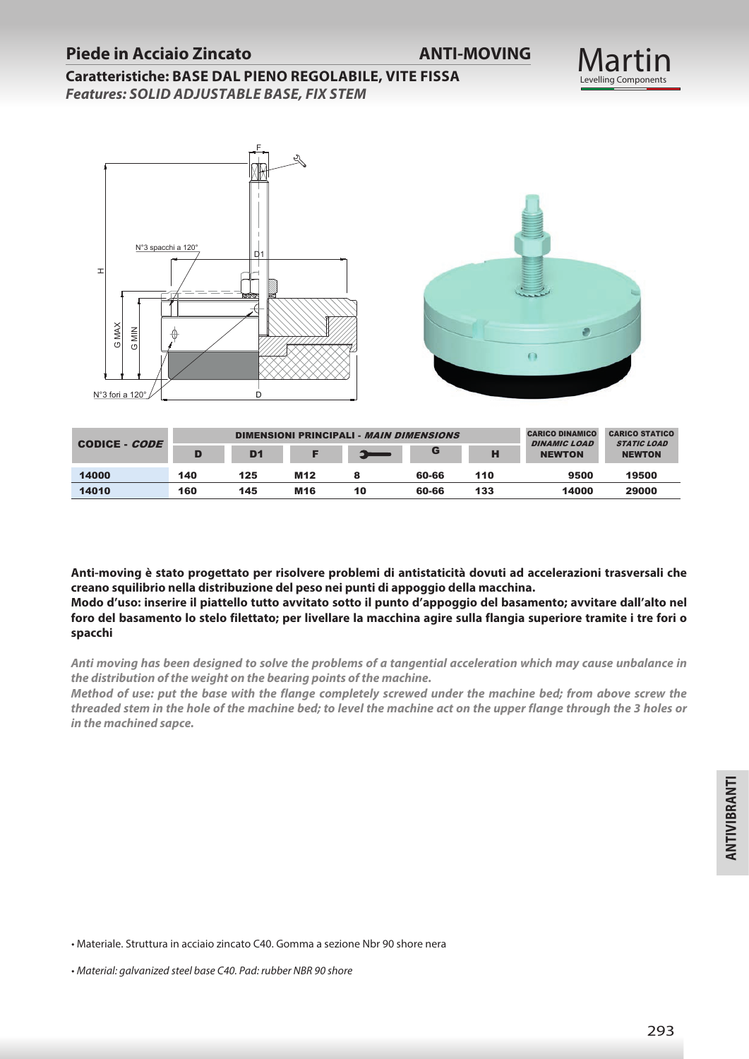#### **Piede in Acciaio Zincato ANTI-MOVING**

#### **Martin** Levelling Components

**Caratteristiche: BASE DAL PIENO REGOLABILE, VITE FISSA** *Features: SOLID ADJUSTABLE BASE, FIX STEM*



|                      |     |                |                 | DIMENSIONI PRINCIPALI - MAIN DIMENSIONS |       |     | <b>CARICO DINAMICO</b><br><b>DINAMIC LOAD</b> | <b>CARICO STATICO</b><br><i><b>STATIC LOAD</b></i> |  |
|----------------------|-----|----------------|-----------------|-----------------------------------------|-------|-----|-----------------------------------------------|----------------------------------------------------|--|
| CODICE - <i>CODE</i> |     | D <sub>1</sub> |                 |                                         | G     | н   | <b>NEWTON</b>                                 | <b>NEWTON</b>                                      |  |
| 14000                | 140 | 125            | M <sub>12</sub> |                                         | 60-66 | 110 | 9500                                          | 19500                                              |  |
| 14010                | 160 | 145            | M <sub>16</sub> | 10                                      | 60-66 | 133 | 14000                                         | 29000                                              |  |

**Anti-moving è stato progettato per risolvere problemi di antistaticità dovuti ad accelerazioni trasversali che creano squilibrio nella distribuzione del peso nei punti di appoggio della macchina. Modo d'uso: inserire il piattello tutto avvitato sotto il punto d'appoggio del basamento; avvitare dall'alto nel** 

**foro del basamento lo stelo filettato; per livellare la macchina agire sulla flangia superiore tramite i tre fori o spacchi**

*Anti moving has been designed to solve the problems of a tangential acceleration which may cause unbalance in the distribution of the weight on the bearing points of the machine.*

*Method of use: put the base with the flange completely screwed under the machine bed; from above screw the threaded stem in the hole of the machine bed; to level the machine act on the upper flange through the 3 holes or in the machined sapce.*

• Materiale. Struttura in acciaio zincato C40. Gomma a sezione Nbr 90 shore nera

<sup>•</sup> *Material: galvanized steel base C40. Pad: rubber NBR 90 shore*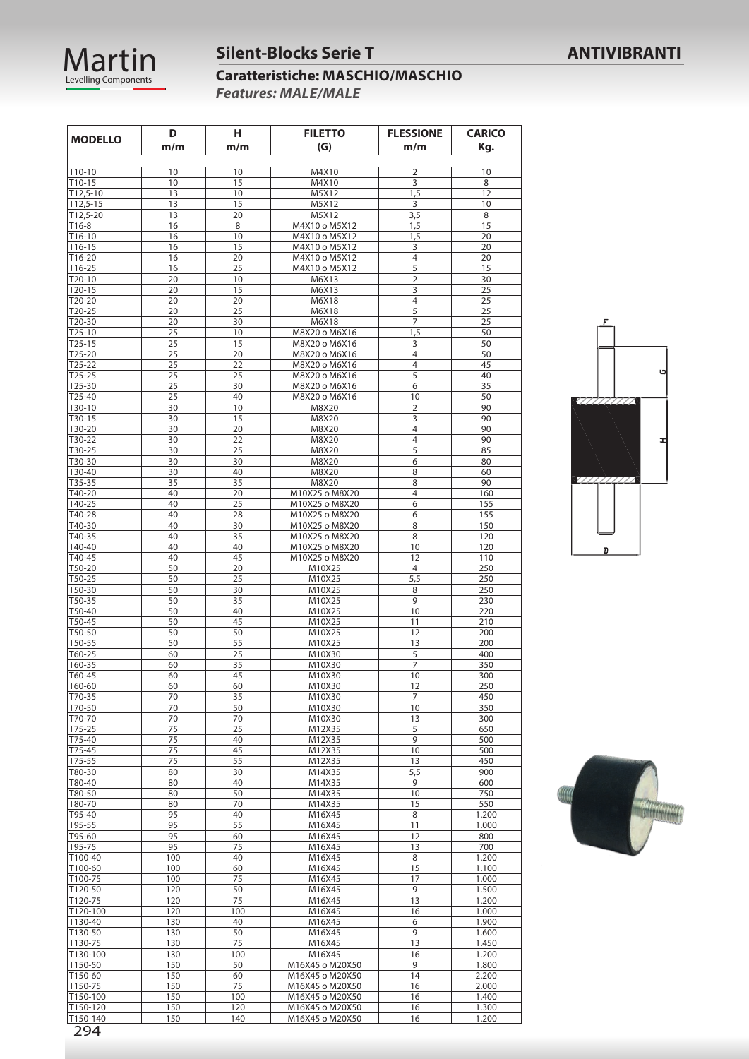

#### **Silent-Blocks Serie T ANTIVIBRANTI**

**Caratteristiche: MASCHIO/MASCHIO** *Features: MALE/MALE*

| <b>MODELLO</b>     | D          | Н.        | <b>FILETTO</b>                 | <b>FLESSIONE</b> | <b>CARICO</b>  |
|--------------------|------------|-----------|--------------------------------|------------------|----------------|
|                    | m/m        | m/m       | (G)                            | m/m              | Kq.            |
|                    |            |           |                                |                  |                |
| T10-10             | 10         | 10        | M4X10                          | 2                | 10             |
| T10-15             | 10         | 15        | M4X10                          | 3                | 8              |
| $T12,5-10$         | 13         | 10        | M5X12                          | 1,5              | 12             |
| $T12,5-15$         | 13         | 15        | M5X12                          | 3                | 10             |
| $T12,5-20$         | 13         | 20        | M5X12                          | 3,5              | 8              |
| T16-8              | 16         | 8         | M4X10 o M5X12                  | 1,5              | 15             |
| T16-10             | 16         | 10        | M4X10 o M5X12                  | 1,5              | 20             |
| T16-15             | 16         | 15        | M4X10 o M5X12                  | 3                | 20             |
| T16-20             | 16         | 20        | M4X10 o M5X12                  | $\overline{4}$   | 20             |
| T16-25             | 16         | 25        | M4X10 o M5X12                  | 5                | 15             |
| T20-10             | 20         | 10        | M6X13                          | $\overline{2}$   | 30             |
| $T20-15$           | 20         | 15        | M6X13                          | 3                | 25             |
| T20-20             | 20         | 20        | M6X18                          | $\overline{4}$   | 25             |
| T20-25             | 20         | 25        | M6X18                          | 5                | 25             |
| T20-30             | 20         | 30        | M6X18                          | $\overline{7}$   | 25             |
| $T25-10$           | 25<br>25   | 10<br>15  | M8X20 o M6X16                  | 1,5<br>3         | 50<br>50       |
| $T25-15$<br>T25-20 | 25         | 20        | M8X20 o M6X16<br>M8X20 o M6X16 | $\overline{4}$   | 50             |
| $T25-22$           | 25         | 22        | M8X20 o M6X16                  | $\overline{4}$   | 45             |
| $T25-25$           | 25         | 25        | M8X20 o M6X16                  | 5                | 40             |
| T25-30             | 25         | 30        | M8X20 o M6X16                  | 6                | 35             |
| T25-40             | 25         | 40        | M8X20 o M6X16                  | 10               | 50             |
| T30-10             | 30         | 10        | M8X20                          | 2                | 90             |
| T30-15             | 30         | 15        | M8X20                          | 3                | 90             |
| T30-20             | 30         | 20        | M8X20                          | $\overline{4}$   | 90             |
| T30-22             | 30         | 22        | M8X20                          | $\overline{4}$   | 90             |
| T30-25             | 30         | 25        | M8X20                          | 5                | 85             |
| T30-30             | 30         | 30        | M8X20                          | 6                | 80             |
| T30-40             | 30         | 40        | M8X20                          | 8                | 60             |
| T35-35             | 35         | 35        | M8X20                          | 8                | 90             |
| T40-20             | 40         | 20        | M10X25 o M8X20                 | $\overline{4}$   | 160            |
| T40-25             | 40         | 25        | M10X25 o M8X20                 | 6                | 155            |
| T40-28             | 40         | 28        | M10X25 o M8X20                 | 6                | 155            |
| T40-30             | 40         | 30        | M10X25 o M8X20                 | 8                | 150            |
| T40-35             | 40         | 35        | M10X25 o M8X20                 | 8                | 120            |
| T40-40             | 40         | 40        | M10X25 o M8X20                 | 10               | 120            |
| T40-45             | 40         | 45        | M10X25 o M8X20                 | 12               | 110            |
| T50-20             | 50         | 20        | M10X25                         | 4                | 250            |
| T50-25             | 50         | 25        | M10X25                         | 5,5              | 250            |
| T50-30             | 50         | 30        | M10X25                         | 8                | 250            |
| T50-35             | 50         | 35        | M10X25                         | 9                | 230            |
| T50-40             | 50         | 40        | M10X25                         | 10               | 220            |
| T50-45             | 50         | 45        | M10X25                         | 11               | 210            |
| T50-50             | 50         | 50        | M10X25                         | 12               | 200            |
| T50-55<br>T60-25   | 50<br>60   | 55<br>25  | M10X25                         | 13<br>5          | 200<br>400     |
| T60-35             | 60         | 35        | M10X30<br>M10X30               | $\overline{7}$   | 350            |
| T60-45             | 60         | 45        | M10X30                         | 10               | 300            |
| T60-60             | 60         | 60        | M10X30                         | 12               | 250            |
| T70-35             | 70         | 35        | M10X30                         | 7                | 450            |
| T70-50             | 70         | 50        | M10X30                         | 10               | 350            |
| T70-70             | 70         | 70        | M10X30                         | 13               | 300            |
| T75-25             | 75         | 25        | M12X35                         | 5                | 650            |
| T75-40             | 75         | 40        | M12X35                         | 9                | 500            |
| T75-45             | 75         | 45        | M12X35                         | 10               | 500            |
| T75-55             | 75         | 55        | M12X35                         | 13               | 450            |
| T80-30             | 80         | 30        | M14X35                         | 5,5              | 900            |
| T80-40             | 80         | 40        | M14X35                         | 9                | 600            |
| T80-50             | 80         | 50        | M14X35                         | 10               | 750            |
| T80-70             | 80         | 70        | M14X35                         | 15               | 550            |
| T95-40             | 95         | 40        | M16X45                         | 8                | 1.200          |
| T95-55             | 95         | 55        | M16X45                         | 11               | 1.000          |
| T95-60             | 95         | 60        | M16X45                         | 12               | 800            |
| T95-75             | 95         | 75        | M16X45                         | 13               | 700            |
| T100-40            | 100        | 40        | M16X45                         | 8                | 1.200          |
| T100-60            | 100        | 60        | M16X45                         | 15               | 1.100          |
| T100-75            | 100        | 75        | M16X45                         | 17               | 1.000          |
| T120-50            | 120        | 50        | M16X45                         | 9                | 1.500          |
| T120-75            | 120        | 75        | M16X45                         | 13               | 1.200          |
| T120-100           | 120        | 100<br>40 | M16X45                         | 16               | 1.000          |
| T130-40<br>T130-50 | 130<br>130 | 50        | M16X45<br>M16X45               | 6<br>9           | 1.900<br>1.600 |
| T130-75            | 130        | 75        | M16X45                         | 13               | 1.450          |
| T130-100           | 130        | 100       | M16X45                         | 16               | 1.200          |
| T150-50            | 150        | 50        | M16X45 o M20X50                | 9                | 1.800          |
| T150-60            | 150        | 60        | M16X45 o M20X50                | 14               | 2.200          |
| T150-75            | 150        | 75        | M16X45 o M20X50                | 16               | 2.000          |
| T150-100           | 150        | 100       | M16X45 o M20X50                | 16               | 1.400          |
| T150-120           | 150        | 120       | M16X45 o M20X50                | 16               | 1.300          |
| T150-140           | 150        | 140       | M16X45 o M20X50                | 16               | 1.200          |



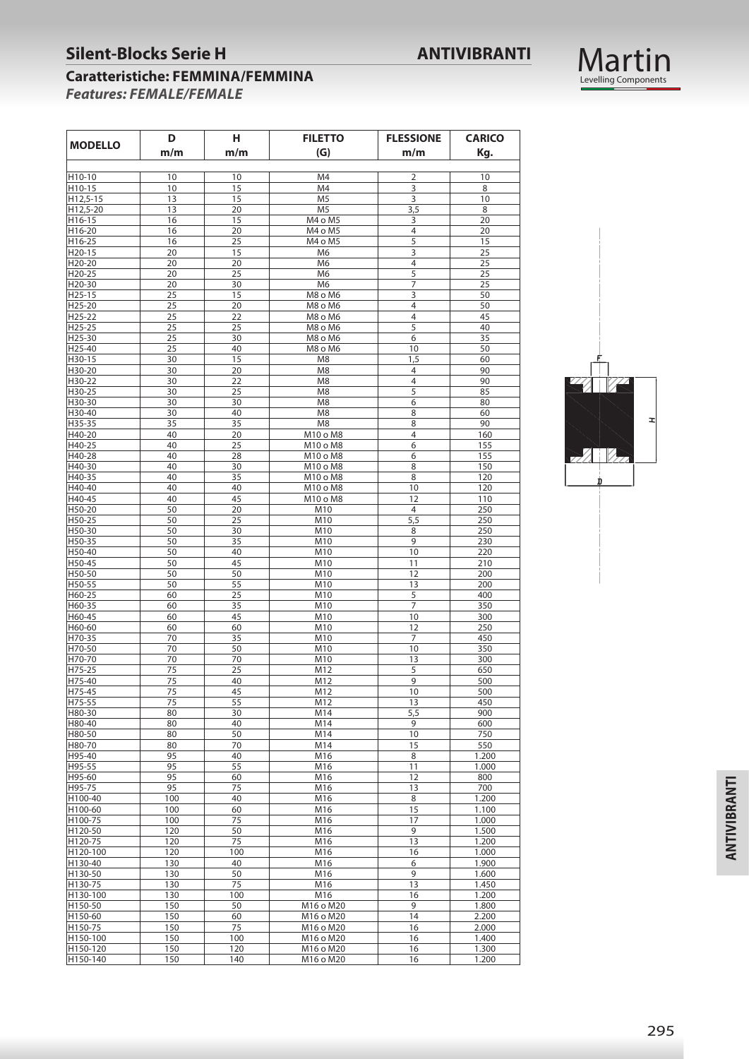#### **Silent-Blocks Serie H ANTIVIBRANTI**



#### **Caratteristiche: FEMMINA/FEMMINA**  *Features: FEMALE/FEMALE*

| <b>MODELLO</b>      | D<br>н.    |           | <b>FILETTO</b>             | <b>FLESSIONE</b> | <b>CARICO</b>  |
|---------------------|------------|-----------|----------------------------|------------------|----------------|
|                     | m/m        | m/m       | (G)                        | m/m              | Kg.            |
| H10-10              | 10         | 10        | M4                         | $\overline{2}$   | 10             |
| H10-15              | 10         | 15        | M4                         | 3                | 8              |
| H12,5-15            | 13         | 15        | M <sub>5</sub>             | 3                | 10             |
| H12,5-20            | 13         | 20        | M <sub>5</sub>             | 3,5              | 8              |
| H16-15              | 16         | 15        | M4 o M5                    | 3                | 20             |
| H16-20              | 16         | 20        | M4 o M5                    | $\overline{4}$   | 20             |
| H16-25              | 16         | 25        | M4 o M5                    | 5                | 15             |
| H <sub>20</sub> -15 | 20         | 15        | M6                         | 3                | 25             |
| H20-20              | 20         | 20        | M6                         | $\overline{4}$   | 25             |
| H20-25              | 20         | 25        | M <sub>6</sub>             | 5                | 25             |
| H20-30              | 20         | 30        | M <sub>6</sub>             | 7                | 25             |
| H25-15              | 25         | 15        | M8 o M6                    | 3                | 50             |
| H25-20              | 25         | 20        | M8 o M6                    | $\overline{4}$   | 50             |
| H25-22              | 25         | 22        | M8 o M6                    | 4                | 45             |
| H <sub>25</sub> -25 | 25         | 25        | M8 o M6                    | 5                | 40             |
| H25-30              | 25         | 30        | M8 o M6                    | 6                | 35             |
| H25-40              | 25         | 40        | M8 o M6                    | 10               | 50             |
| H30-15              | 30         | 15        | M8                         | 1,5              | 60             |
| H30-20              | 30         | 20        | M <sub>8</sub>             | 4                | 90             |
| H30-22              | 30         | 22        | M8                         | $\overline{4}$   | 90             |
| H30-25              | 30         | 25        | M <sub>8</sub>             | 5                | 85             |
| H30-30              | 30         | 30        | M <sub>8</sub>             | 6                | 80             |
| H30-40              | 30         | 40        | M <sub>8</sub>             | 8                | 60             |
| H35-35              | 35         | 35        | M <sub>8</sub><br>M10 o M8 | 8                | 90             |
| H40-20              | 40         | 20<br>25  |                            | 4<br>6           | 160            |
| H40-25<br>H40-28    | 40<br>40   | 28        | M10 o M8<br>M10 o M8       | 6                | 155<br>155     |
| H40-30              | 40         | 30        | M10 o M8                   | 8                | 150            |
| H40-35              | 40         | 35        | M10 o M8                   | 8                | 120            |
| H40-40              | 40         | 40        | M10 o M8                   | 10               | 120            |
| H40-45              | 40         | 45        | M10 o M8                   | 12               | 110            |
| H50-20              | 50         | 20        | M10                        | 4                | 250            |
| H50-25              | 50         | 25        | M10                        | 5,5              | 250            |
| H50-30              | 50         | 30        | M10                        | 8                | 250            |
| H50-35              | 50         | 35        | M10                        | 9                | 230            |
| H50-40              | 50         | 40        | M10                        | 10               | 220            |
| H50-45              | 50         | 45        | M10                        | 11               | 210            |
| H50-50              | 50         | 50        | M10                        | 12               | 200            |
| H50-55              | 50         | 55        | M10                        | 13               | 200            |
| H60-25              | 60         | 25        | M10                        | 5                | 400            |
| H60-35              | 60         | 35        | M10                        | 7                | 350            |
| H60-45              | 60         | 45        | M10                        | 10               | 300            |
| H60-60              | 60         | 60        | M10                        | 12               | 250            |
| H70-35              | 70         | 35        | M10                        | 7                | 450            |
| H70-50              | 70         | 50        | M10                        | 10               | 350            |
| H70-70              | 70         | 70        | M10                        | 13               | 300            |
| H75-25              | 75         | 25        | M12                        | 5                | 650            |
| H75-40              | 75         | 40        | M12                        | 9                | 500            |
| H75-45              | 75         | 45        | M12                        | 10               | 500            |
| H75-55              | 75         | 55        | M12                        | 13               | 450            |
| H80-30              | 80         | 30        | M14                        | 5,5              | 900            |
| H80-40              | 80         | 40        | M14                        | 9                | 600            |
| H80-50              | 80         | 50        | M14                        | 10               | 750            |
| H80-70              | 80         | 70        | M14                        | 15               | 550            |
| H95-40              | 95         | 40        | M16                        | 8                | 1.200          |
| H95-55              | 95         | 55        | M16                        | 11               | 1.000          |
| H95-60              | 95         | 60        | M16                        | 12               | 800            |
| H95-75              | 95         | 75        | M16                        | 13               | 700            |
| H100-40             | 100        | 40        | M16                        | 8                | 1.200          |
| H100-60             | 100        | 60        | M16                        | 15               | 1.100          |
| H100-75             | 100        | 75        | M16                        | 17               | 1.000          |
| H120-50             | 120        | 50        | M16                        | 9                | 1.500          |
| H120-75             | 120        | 75        | M16                        | 13               | 1.200          |
| H120-100            | 120        | 100<br>40 | M16                        | 16               | 1.000          |
| H130-40             | 130        | 50        | M16<br>M16                 | 6<br>9           | 1.900          |
| H130-50             | 130        |           |                            |                  | 1.600          |
| H130-75             | 130        | 75        | M16<br>M16                 | 13               | 1.450          |
| H130-100            | 130        | 100       |                            | 16<br>9          | 1.200          |
| H150-50             | 150        | 50        | M16 o M20                  | 14               | 1.800          |
| H150-60             | 150        | 60<br>75  | M16 o M20<br>M16 o M20     | 16               | 2.200          |
| H150-75<br>H150-100 | 150<br>150 | 100       |                            | 16               | 2.000<br>1.400 |
| H150-120            |            | 120       | M16 o M20<br>M16 o M20     | 16               | 1.300          |
| H150-140            | 150<br>150 | 140       | M16 o M20                  | 16               | 1.200          |
|                     |            |           |                            |                  |                |

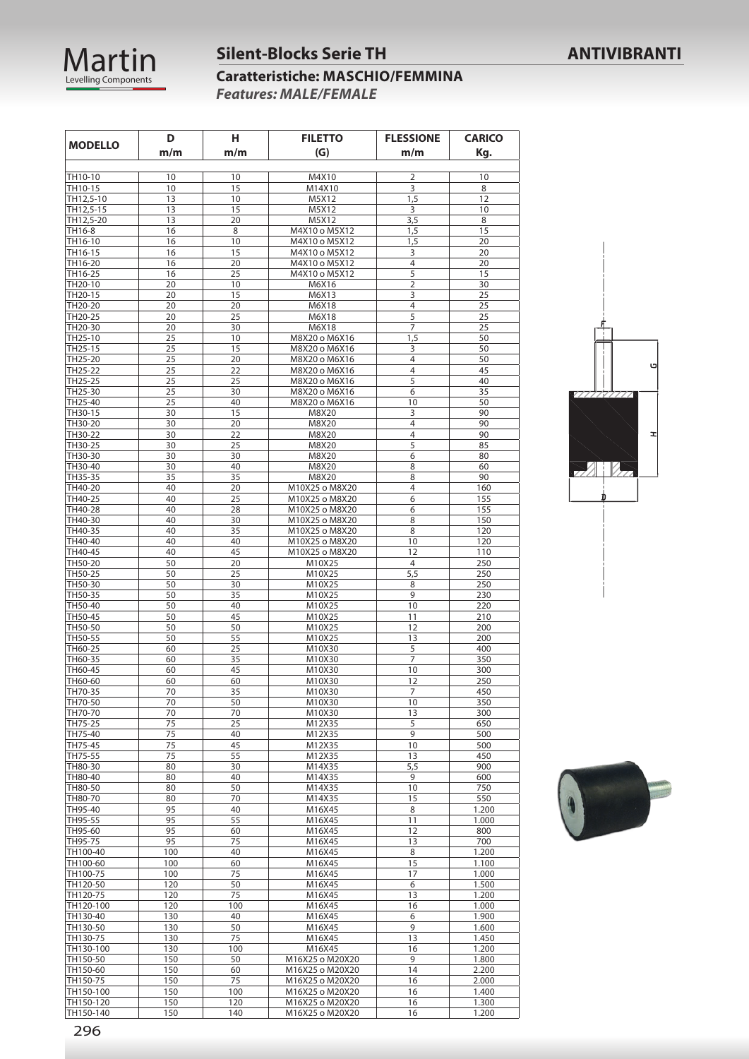

#### **Silent-Blocks Serie TH ANTIVIBRANTI**

#### **Caratteristiche: MASCHIO/FEMMINA** *Features: MALE/FEMALE*

| <b>MODELLO</b>         | н<br>D<br><b>FILETTO</b><br>m/m<br>(G)<br>m/m |            | <b>FLESSIONE</b><br>m/m            | <b>CARICO</b><br>Kg. |                |
|------------------------|-----------------------------------------------|------------|------------------------------------|----------------------|----------------|
|                        |                                               |            |                                    |                      |                |
| TH10-10                | 10                                            | 10         | M4X10                              | $\overline{2}$       | 10             |
| TH10-15<br>TH12,5-10   | 10<br>13                                      | 15<br>10   | M14X10<br>M5X12                    | 3<br>1,5             | 8<br>12        |
| TH12,5-15              | 13                                            | 15         | M5X12                              | 3                    | 10             |
| TH12,5-20              | 13                                            | 20         | M5X12                              | 3,5                  | 8              |
| TH16-8                 | 16                                            | 8          | M4X10 o M5X12                      | 1,5                  | 15             |
| TH16-10                | 16                                            | 10         | M4X10 o M5X12                      | 1,5                  | 20             |
| TH16-15                | 16                                            | 15         | M4X10 o M5X12                      | 3                    | 20             |
| TH16-20                | 16                                            | 20         | M4X10 o M5X12                      | 4                    | 20             |
| TH16-25                | 16                                            | 25         | M4X10 o M5X12                      | 5                    | 15             |
| TH20-10                | 20                                            | 10         | M6X16                              | $\overline{2}$       | 30             |
| TH20-15                | 20                                            | 15         | M6X13                              | 3                    | 25             |
| TH20-20                | 20                                            | 20         | M6X18                              | 4                    | 25             |
| TH20-25                | 20                                            | 25         | M6X18                              | 5                    | 25             |
| TH20-30                | 20                                            | 30         | M6X18                              | 7                    | 25             |
| TH25-10                | 25                                            | 10         | M8X20 o M6X16                      | 1,5                  | 50             |
| TH25-15<br>TH25-20     | 25<br>25                                      | 15<br>20   | M8X20 o M6X16                      | 3<br>$\overline{4}$  | 50<br>50       |
| TH25-22                | 25                                            | 22         | M8X20 o M6X16<br>M8X20 o M6X16     | 4                    | 45             |
| TH25-25                | 25                                            | 25         | M8X20 o M6X16                      | 5                    | 40             |
| TH25-30                | 25                                            | 30         | M8X20 o M6X16                      | 6                    | 35             |
| TH25-40                | 25                                            | 40         | M8X20 o M6X16                      | 10                   | 50             |
| TH30-15                | 30                                            | 15         | M8X20                              | 3                    | 90             |
| TH30-20                | 30                                            | 20         | M8X20                              | $\overline{4}$       | 90             |
| TH30-22                | 30                                            | 22         | M8X20                              | 4                    | 90             |
| TH30-25                | 30                                            | 25         | M8X20                              | 5                    | 85             |
| TH30-30                | 30                                            | 30         | M8X20                              | 6                    | 80             |
| TH30-40                | 30                                            | 40         | M8X20                              | 8                    | 60             |
| TH35-35                | 35                                            | 35         | M8X20                              | 8                    | 90             |
| TH40-20                | 40                                            | 20         | M10X25 o M8X20                     | $\overline{4}$       | 160            |
| TH40-25                | 40                                            | 25         | M10X25 o M8X20                     | 6                    | 155            |
| TH40-28                | 40                                            | 28         | M10X25 o M8X20                     | 6                    | 155            |
| TH40-30                | 40                                            | 30         | M10X25 o M8X20                     | 8                    | 150            |
| TH40-35                | 40                                            | 35         | M10X25 o M8X20                     | 8                    | 120            |
| TH40-40                | 40                                            | 40         | M10X25 o M8X20                     | 10                   | 120            |
| TH40-45                | 40                                            | 45         | M10X25 o M8X20                     | 12                   | 110            |
| TH50-20<br>TH50-25     | 50                                            | 20<br>25   | M10X25                             | 4                    | 250            |
| TH50-30                | 50<br>50                                      | 30         | M10X25<br>M10X25                   | 5,5<br>8             | 250<br>250     |
| TH50-35                | 50                                            | 35         | M10X25                             | 9                    | 230            |
| TH50-40                | 50                                            | 40         | M10X25                             | 10                   | 220            |
| TH50-45                | 50                                            | 45         | M10X25                             | 11                   | 210            |
| TH50-50                | 50                                            | 50         | M10X25                             | 12                   | 200            |
| TH50-55                | 50                                            | 55         | M10X25                             | 13                   | 200            |
| TH60-25                | 60                                            | 25         | M10X30                             | 5                    | 400            |
| TH60-35                | 60                                            | 35         | M10X30                             | 7                    | 350            |
| TH60-45                | 60                                            | 45         | M10X30                             | 10                   | 300            |
| TH60-60                | 60                                            | 60         | M10X30                             | 12                   | 250            |
| TH70-35                | 70                                            | 35         | M10X30                             | 7                    | 450            |
| TH70-50                | 70                                            | 50         | M10X30                             | 10                   | 350            |
| TH70-70                | 70                                            | 70         | M10X30                             | 13                   | 300            |
| TH75-25                | 75                                            | 25         | M12X35                             | 5                    | 650            |
| TH75-40                | 75                                            | 40         | M12X35                             | 9                    | 500            |
| TH75-45                | 75                                            | 45         | M12X35                             | 10                   | 500            |
| TH75-55                | 75                                            | 55         | M12X35                             | 13                   | 450            |
| TH80-30                | 80                                            | 30         | M14X35                             | 5,5                  | 900            |
| TH80-40<br>TH80-50     | 80<br>80                                      | 40<br>50   | M14X35<br>M14X35                   | 9<br>10              | 600<br>750     |
| TH80-70                | 80                                            | 70         | M14X35                             | 15                   | 550            |
| TH95-40                | 95                                            | 40         | M16X45                             | 8                    | 1.200          |
| TH95-55                | 95                                            | 55         | M16X45                             | 11                   | 1.000          |
| TH95-60                | 95                                            | 60         | M16X45                             | 12                   | 800            |
| TH95-75                | 95                                            | 75         | M16X45                             | 13                   | 700            |
| TH100-40               | 100                                           | 40         | M16X45                             | 8                    | 1.200          |
| TH100-60               | 100                                           | 60         | M16X45                             | 15                   | 1.100          |
| TH100-75               | 100                                           | 75         | M16X45                             | 17                   | 1.000          |
| TH120-50               | 120                                           | 50         | M16X45                             | 6                    | 1.500          |
| TH120-75               | 120                                           | 75         | M16X45                             | 13                   | 1.200          |
| TH120-100              | 120                                           | 100        | M16X45                             | 16                   | 1.000          |
| TH130-40               | 130                                           | 40         | M16X45                             | 6                    | 1.900          |
| TH130-50               | 130                                           | 50         | M16X45                             | 9                    | 1.600          |
| TH130-75               | 130                                           | 75         | M16X45                             | 13                   | 1.450          |
| TH130-100              | 130                                           | 100        | M16X45                             | 16                   | 1.200          |
| TH150-50               | 150                                           | 50         | M16X25 o M20X20                    | 9                    | 1.800          |
| TH150-60               | 150                                           | 60         | M16X25 o M20X20                    | 14                   | 2.200          |
| TH150-75               | 150                                           | 75         | M16X25 o M20X20                    | 16                   | 2.000          |
| TH150-100              | 150                                           | 100        | M16X25 o M20X20                    | 16                   | 1.400          |
| TH150-120<br>TH150-140 | 150<br>150                                    | 120<br>140 | M16X25 o M20X20<br>M16X25 o M20X20 | 16<br>16             | 1.300<br>1.200 |
|                        |                                               |            |                                    |                      |                |



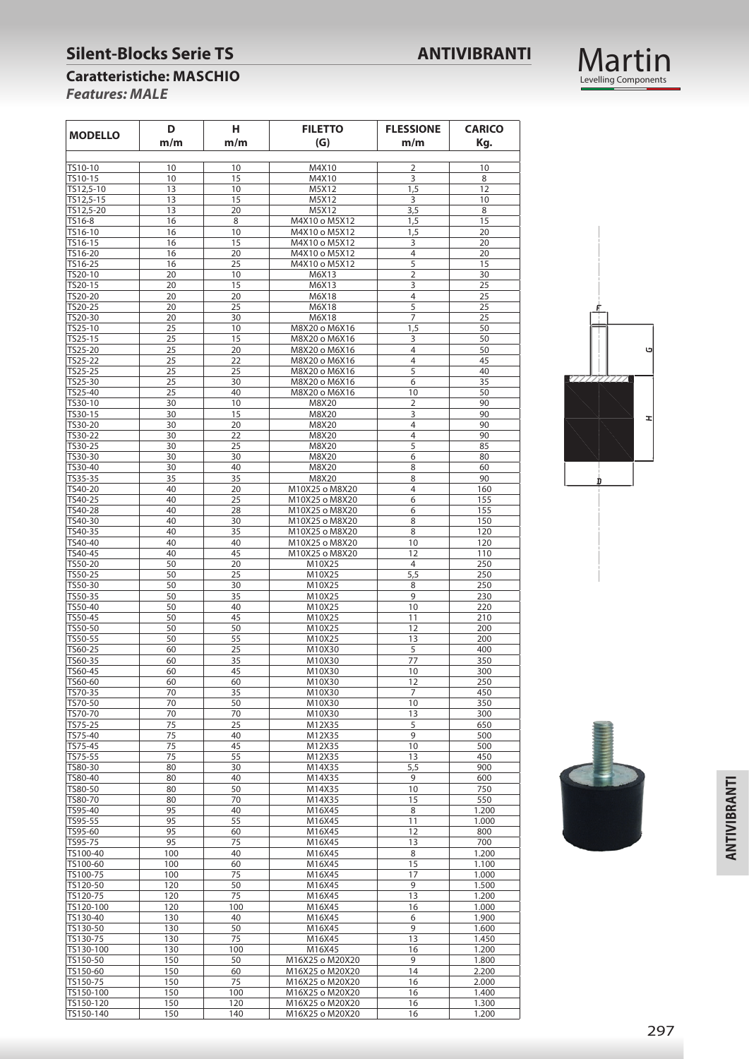#### **Silent-Blocks Serie TS ANTIVIBRANTI**



#### **Caratteristiche: MASCHIO**

*Features: MALE*

| <b>MODELLO</b> | Н.<br>D<br><b>FILETTO</b><br>m/m<br>(G)<br>m/m |     | <b>FLESSIONE</b><br>m/m | <b>CARICO</b><br>Kg. |       |
|----------------|------------------------------------------------|-----|-------------------------|----------------------|-------|
| TS10-10        | 10                                             | 10  | M4X10                   | $\overline{2}$       | 10    |
| TS10-15        | 10                                             | 15  | M4X10                   | 3                    | 8     |
| TS12,5-10      | 13                                             | 10  | M5X12                   | 1,5                  | 12    |
| TS12,5-15      | 13                                             | 15  | M5X12                   | 3                    | 10    |
| TS12,5-20      | 13                                             | 20  | M5X12                   | 3,5                  | 8     |
| TS16-8         | 16                                             |     |                         |                      |       |
| TS16-10        | 16                                             | 8   | M4X10 o M5X12           | 1,5                  | 15    |
|                |                                                | 10  | M4X10 o M5X12           | 1,5                  | 20    |
| TS16-15        | 16                                             | 15  | M4X10 o M5X12           | 3                    | 20    |
| TS16-20        | 16                                             | 20  | M4X10 o M5X12           | $\overline{4}$       | 20    |
| TS16-25        | 16                                             | 25  | M4X10 o M5X12           | 5                    | 15    |
| TS20-10        | 20                                             | 10  | M6X13                   | $\overline{2}$       | 30    |
| TS20-15        | 20                                             | 15  | M6X13                   | 3                    | 25    |
| TS20-20        | 20                                             | 20  | M6X18                   | $\overline{4}$       | 25    |
| TS20-25        | 20                                             | 25  | M6X18                   | 5                    | 25    |
| TS20-30        | 20                                             | 30  | M6X18                   | $\overline{7}$       | 25    |
| TS25-10        | 25                                             | 10  | M8X20 o M6X16           | 1,5                  | 50    |
| TS25-15        | 25                                             | 15  | M8X20 o M6X16           | 3                    | 50    |
| TS25-20        | 25                                             | 20  | M8X20 o M6X16           | $\overline{4}$       | 50    |
| TS25-22        | 25                                             | 22  | M8X20 o M6X16           | 4                    | 45    |
| TS25-25        | 25                                             | 25  | M8X20 o M6X16           | 5                    | 40    |
| TS25-30        | 25                                             | 30  | M8X20 o M6X16           | 6                    | 35    |
| TS25-40        | 25                                             | 40  | M8X20 o M6X16           | 10                   | 50    |
| TS30-10        | 30                                             | 10  | M8X20                   | $\overline{2}$       | 90    |
|                |                                                |     |                         |                      | 90    |
| TS30-15        | 30                                             | 15  | M8X20                   | 3                    |       |
| TS30-20        | 30                                             | 20  | M8X20                   | $\overline{4}$       | 90    |
| TS30-22        | 30                                             | 22  | M8X20                   | $\overline{4}$       | 90    |
| TS30-25        | 30                                             | 25  | M8X20                   | 5                    | 85    |
| TS30-30        | 30                                             | 30  | M8X20                   | 6                    | 80    |
| TS30-40        | 30                                             | 40  | M8X20                   | 8                    | 60    |
| TS35-35        | 35                                             | 35  | M8X20                   | 8                    | 90    |
| TS40-20        | 40                                             | 20  | M10X25 o M8X20          | $\overline{4}$       | 160   |
| TS40-25        | 40                                             | 25  | M10X25 o M8X20          | 6                    | 155   |
| TS40-28        | 40                                             | 28  | M10X25 o M8X20          | 6                    | 155   |
| TS40-30        | 40                                             | 30  | M10X25 o M8X20          | 8                    | 150   |
| TS40-35        | 40                                             | 35  | M10X25 o M8X20          | 8                    | 120   |
| TS40-40        | 40                                             | 40  | M10X25 o M8X20          | 10                   | 120   |
| TS40-45        | 40                                             | 45  | M10X25 o M8X20          | 12                   | 110   |
| TS50-20        | 50                                             | 20  | M10X25                  | 4                    | 250   |
| TS50-25        | 50                                             | 25  | M10X25                  | 5,5                  | 250   |
|                |                                                |     |                         |                      |       |
| TS50-30        | 50                                             | 30  | M10X25                  | 8                    | 250   |
| TS50-35        | 50                                             | 35  | M10X25                  | 9                    | 230   |
| TS50-40        | 50                                             | 40  | M10X25                  | 10                   | 220   |
| TS50-45        | 50                                             | 45  | M10X25                  | 11                   | 210   |
| TS50-50        | 50                                             | 50  | M10X25                  | 12                   | 200   |
| TS50-55        | 50                                             | 55  | M10X25                  | 13                   | 200   |
| TS60-25        | 60                                             | 25  | M10X30                  | 5                    | 400   |
| TS60-35        | 60                                             | 35  | M10X30                  | 77                   | 350   |
| TS60-45        | 60                                             | 45  | M10X30                  | 10                   | 300   |
| TS60-60        | 60                                             | 60  | M10X30                  | 12                   | 250   |
| TS70-35        | 70                                             | 35  | M10X30                  | 7                    | 450   |
| TS70-50        | 70                                             | 50  | M10X30                  | 10                   | 350   |
| TS70-70        | 70                                             | 70  | M10X30                  | 13                   | 300   |
| TS75-25        | 75                                             | 25  | M12X35                  | 5                    | 650   |
| TS75-40        | 75                                             | 40  | M12X35                  | 9                    | 500   |
| TS75-45        | 75                                             | 45  | M12X35                  | 10                   | 500   |
| TS75-55        | 75                                             | 55  | M12X35                  | 13                   | 450   |
| TS80-30        | 80                                             | 30  | M14X35                  | 5,5                  | 900   |
| TS80-40        |                                                |     |                         |                      |       |
|                | 80                                             | 40  | M14X35                  | 9                    | 600   |
| TS80-50        | 80                                             | 50  | M14X35                  | 10                   | 750   |
| TS80-70        | 80                                             | 70  | M14X35                  | 15                   | 550   |
| TS95-40        | 95                                             | 40  | M16X45                  | 8                    | 1.200 |
| TS95-55        | 95                                             | 55  | M16X45                  | 11                   | 1.000 |
| TS95-60        | 95                                             | 60  | M16X45                  | 12                   | 800   |
| TS95-75        | 95                                             | 75  | M16X45                  | 13                   | 700   |
| TS100-40       | 100                                            | 40  | M16X45                  | 8                    | 1.200 |
| TS100-60       | 100                                            | 60  | M16X45                  | 15                   | 1.100 |
| TS100-75       | 100                                            | 75  | M16X45                  | 17                   | 1.000 |
| TS120-50       | 120                                            | 50  | M16X45                  | 9                    | 1.500 |
| TS120-75       | 120                                            | 75  | M16X45                  | 13                   | 1.200 |
| TS120-100      | 120                                            | 100 | M16X45                  | 16                   | 1.000 |
| TS130-40       | 130                                            | 40  | M16X45                  | 6                    | 1.900 |
|                |                                                |     |                         |                      |       |
| TS130-50       | 130                                            | 50  | M16X45                  | 9                    | 1.600 |
| TS130-75       | 130                                            | 75  | M16X45                  | 13                   | 1.450 |
| TS130-100      | 130                                            | 100 | M16X45                  | 16                   | 1.200 |
| TS150-50       | 150                                            | 50  | M16X25 o M20X20         | 9                    | 1.800 |
| TS150-60       | 150                                            | 60  | M16X25 o M20X20         | 14                   | 2.200 |
| TS150-75       | 150                                            | 75  | M16X25 o M20X20         | 16                   | 2.000 |
| TS150-100      | 150                                            | 100 | M16X25 o M20X20         | 16                   | 1.400 |
| TS150-120      | 150                                            | 120 | M16X25 o M20X20         | 16                   | 1.300 |
| TS150-140      | 150                                            | 140 | M16X25 o M20X20         | 16                   | 1.200 |



Martin<br>Levelling Components

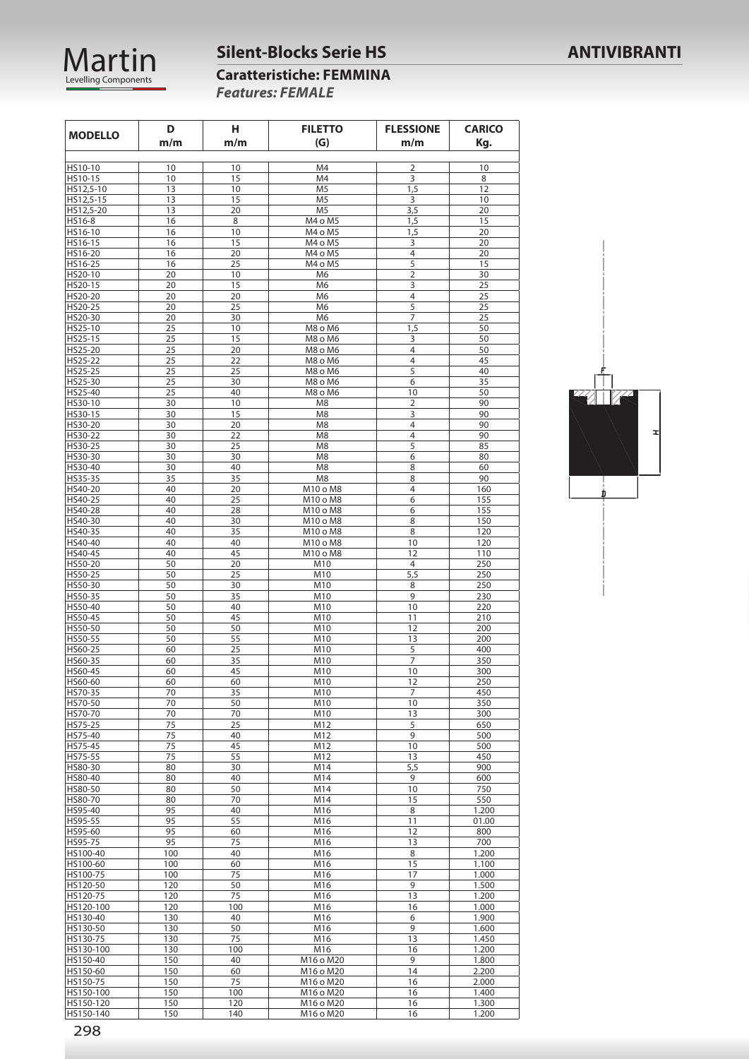

### **Silent-Blocks Serie HS ANTIVIBRANTI**

| <b>Caratteristiche: FEMMINA</b> |
|---------------------------------|
| <b>Features: FEMALE</b>         |

| <b>MODELLO</b>         | D        | н          | <b>FILETTO</b>       | <b>FLESSIONE</b> | <b>CARICO</b> |
|------------------------|----------|------------|----------------------|------------------|---------------|
|                        | m/m      | m/m        | (G)                  | m/m              | Kg.           |
|                        |          |            |                      |                  |               |
| HS10-10                | 10       | 10         | M4                   | 2                | 10            |
| HS10-15                | 10       | 15         | M4                   | 3                | 8             |
| HS12,5-10              | 13       | 10         | M <sub>5</sub>       | 1,5              | 12            |
| HS12,5-15              | 13       | 15         | M <sub>5</sub>       | 3                | 10            |
| HS12,5-20              | 13       | 20         | M <sub>5</sub>       | 3,5              | 20            |
| HS16-8                 | 16       | 8          | M4 o M5              | 1,5              | 15            |
| HS16-10                | 16       | 10         | M4 o M5              | 1,5              | 20            |
| HS16-15<br>HS16-20     | 16       | 15<br>20   | M4 o M5              | 3<br>4           | 20            |
| HS16-25                | 16<br>16 | 25         | M4 o M5<br>M4 o M5   | 5                | 20<br>15      |
| HS20-10                | 20       | 10         | M <sub>6</sub>       | $\overline{2}$   | 30            |
| HS20-15                | 20       | 15         | M <sub>6</sub>       | 3                | 25            |
| HS20-20                | 20       | 20         | M6                   | 4                | 25            |
| HS20-25                | 20       | 25         | M <sub>6</sub>       | 5                | 25            |
| HS20-30                | 20       | 30         | M <sub>6</sub>       | 7                | 25            |
| HS25-10                | 25       | 10         | M8 o M6              | 1,5              | 50            |
| HS25-15                | 25       | 15         | M8 o M6              | 3                | 50            |
| HS25-20                | 25       | 20         | M8 o M6              | 4                | 50            |
| HS25-22                | 25       | 22         | M8 o M6              | 4                | 45            |
| HS25-25                | 25       | 25         | M8 o M6              | 5                | 40            |
| HS25-30                | 25       | 30         | M8 o M6              | 6                | 35            |
| HS25-40                | 25       | 40         | M8 o M6              | 10               | 50            |
| HS30-10                | 30       | 10         | M <sub>8</sub>       | 2                | 90            |
| HS30-15                | 30       | 15         | M <sub>8</sub>       | 3                | 90            |
| HS30-20                | 30       | 20         | M <sub>8</sub>       | 4                | 90            |
| HS30-22                | 30       | 22         | M <sub>8</sub>       | 4                | 90            |
| HS30-25                | 30       | 25         | M8                   | 5                | 85            |
| HS30-30                | 30       | 30         | M <sub>8</sub>       | 6                | 80            |
| HS30-40                | 30       | 40         | M8                   | 8                | 60            |
| HS35-35                | 35       | 35         | M <sub>8</sub>       | 8                | 90            |
| HS40-20                | 40       | 20         | M10 o M8             | 4<br>6           | 160           |
| HS40-25<br>HS40-28     | 40<br>40 | 25<br>28   | M10 o M8<br>M10 o M8 | 6                | 155<br>155    |
| HS40-30                | 40       | 30         | M10 o M8             | 8                | 150           |
| HS40-35                | 40       | 35         | M10 o M8             | 8                | 120           |
| HS40-40                | 40       | 40         | M10 o M8             | 10               | 120           |
| HS40-45                | 40       | 45         | M10 o M8             | 12               | 110           |
| HS50-20                | 50       | 20         | M10                  | 4                | 250           |
| HS50-25                | 50       | 25         | M10                  | 5,5              | 250           |
| HS50-30                | 50       | 30         | M10                  | 8                | 250           |
| HS50-35                | 50       | 35         | M10                  | 9                | 230           |
| HS50-40                | 50       | 40         | M10                  | 10               | 220           |
| HS50-45                | 50       | 45         | M10                  | 11               | 210           |
| HS50-50                | 50       | 50         | M10                  | 12               | 200           |
| HS50-55                | 50       | 55         | M10                  | 13               | 200           |
| HS60-25                | 60       | 25         | M10                  | 5                | 400           |
| HS60-35                | 60       | 35         | M10                  | 7                | 350           |
| HS60-45                | 60       | 45         | M10                  | 10               | 300           |
| HS60-60                | 60       | 60         | M10                  | 12               | 250           |
| HS70-35                | 70       | 35         | M10                  | 7                | 450           |
| HS70-50                | 70       | 50         | M10                  | 10               | 350           |
| HS70-70                | 70       | 70         | M10                  | 13               | 300           |
| HS75-25<br>HS75-40     | 75<br>75 | 25<br>40   | M12<br>M12           | 5<br>9           | 650<br>500    |
| HS75-45                | 75       | 45         | M12                  | 10               | 500           |
| HS75-55                | 75       | 55         | M12                  | 13               | 450           |
| HS80-30                | 80       | 30         | M14                  | 5,5              | 900           |
| HS80-40                | 80       | 40         | M14                  | 9                | 600           |
| HS80-50                | 80       | 50         | M14                  | 10               | 750           |
| HS80-70                | 80       | 70         | M14                  | 15               | 550           |
| HS95-40                | 95       | 40         | M16                  | 8                | 1.200         |
| HS95-55                | 95       | 55         | M16                  | 11               | 01.00         |
| HS95-60                | 95       | 60         | M16                  | 12               | 800           |
| HS95-75                | 95       | 75         | M16                  | 13               | 700           |
| HS100-40               | 100      | 40         | M16                  | 8                | 1.200         |
| HS100-60               | 100      | 60         | M16                  | 15               | 1.100         |
| HS100-75               | 100      | 75         | M16                  | 17               | 1.000         |
| HS120-50               | 120      | 50         | M16                  | 9                | 1.500         |
| HS120-75               | 120      | 75         | M16                  | 13               | 1.200         |
| HS120-100              | 120      | 100        | M16                  | 16               | 1.000         |
| HS130-40               | 130      | 40         | M16                  | 6                | 1.900         |
| HS130-50               | 130      | 50         | M16                  | 9                | 1.600         |
| HS130-75               | 130      | 75         | M16                  | 13               | 1.450         |
| HS130-100              | 130      | 100        | M16                  | 16               | 1.200         |
| HS150-40               | 150      | 40         | M16 o M20            | 9                | 1.800         |
| HS150-60               | 150      | 60         | M16 o M20            | 14               | 2.200         |
| HS150-75               | 150      | 75         | M16 o M20            | 16               | 2.000         |
| HS150-100              | 150      | 100        | M16 o M20            | 16               | 1.400         |
| HS150-120<br>HS150-140 | 150      | 120<br>140 | M16 o M20            | 16<br>16         | 1.300         |
|                        | 150      |            | M16 o M20            |                  | 1.200         |

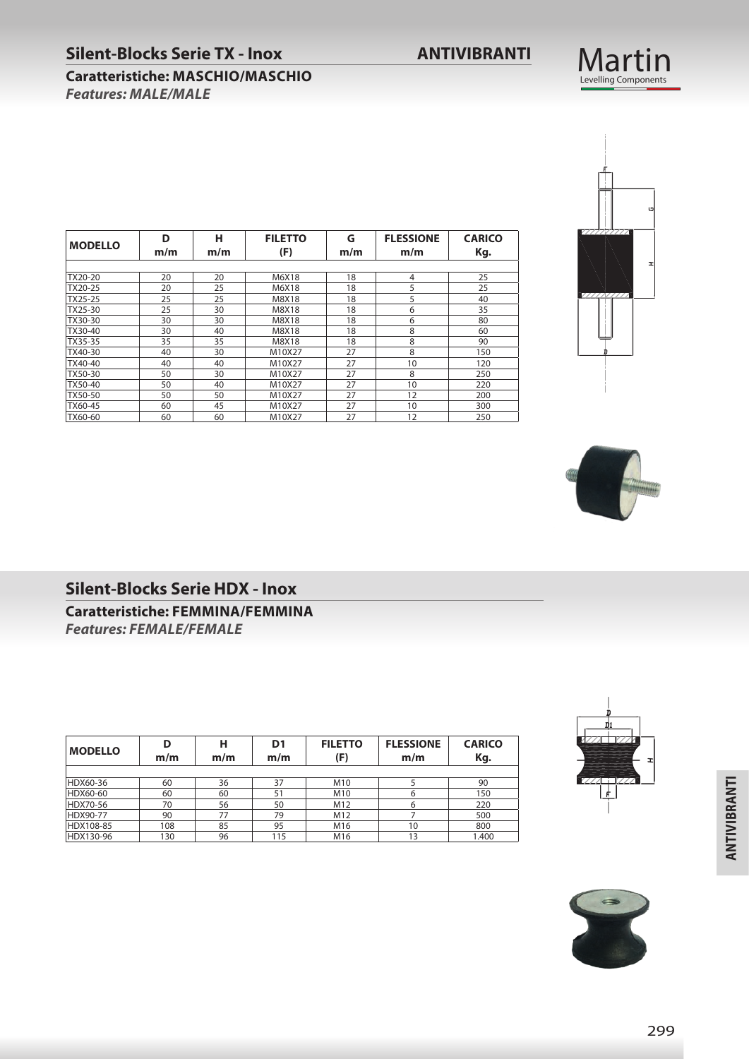#### **Silent-Blocks Serie TX - Inox ANTIVIBRANTI**

#### **Caratteristiche: MASCHIO/MASCHIO** *Features: MALE/MALE*

| <b>MODELLO</b> | D   | н   | <b>FILETTO</b> | G   | <b>FLESSIONE</b> | <b>CARICO</b> |
|----------------|-----|-----|----------------|-----|------------------|---------------|
|                | m/m | m/m | (F)            | m/m | m/m              | Kg.           |
|                |     |     |                |     |                  |               |
| TX20-20        | 20  | 20  | M6X18          | 18  | 4                | 25            |
| TX20-25        | 20  | 25  | M6X18          | 18  | 5                | 25            |
| TX25-25        | 25  | 25  | M8X18          | 18  | 5                | 40            |
| TX25-30        | 25  | 30  | M8X18          | 18  | 6                | 35            |
| TX30-30        | 30  | 30  | M8X18          | 18  | 6                | 80            |
| TX30-40        | 30  | 40  | M8X18          | 18  | 8                | 60            |
| TX35-35        | 35  | 35  | M8X18          | 18  | 8                | 90            |
| TX40-30        | 40  | 30  | M10X27         | 27  | 8                | 150           |
| TX40-40        | 40  | 40  | M10X27         | 27  | 10               | 120           |
| TX50-30        | 50  | 30  | M10X27         | 27  | 8                | 250           |
| TX50-40        | 50  | 40  | M10X27         | 27  | 10               | 220           |
| TX50-50        | 50  | 50  | M10X27         | 27  | 12               | 200           |
| TX60-45        | 60  | 45  | M10X27         | 27  | 10               | 300           |
| TX60-60        | 60  | 60  | M10X27         | 27  | 12               | 250           |





#### **Silent-Blocks Serie HDX - Inox**

**Caratteristiche: FEMMINA/FEMMINA** *Features: FEMALE/FEMALE* 

| <b>MODELLO</b> | D<br>m/m | н<br>m/m | D1<br>m/m | <b>FILETTO</b><br>(F) | <b>FLESSIONE</b><br>m/m | <b>CARICO</b><br>Kg. |
|----------------|----------|----------|-----------|-----------------------|-------------------------|----------------------|
|                |          |          |           |                       |                         |                      |
| HDX60-36       | 60       | 36       | 37        | M10                   |                         | 90                   |
| HDX60-60       | 60       | 60       | 51        | M10                   | 6                       | 150                  |
| HDX70-56       | 70       | 56       | 50        | M12                   | 6                       | 220                  |
| HDX90-77       | 90       | 77       | 79        | M12                   |                         | 500                  |
| HDX108-85      | 108      | 85       | 95        | M16                   | 10                      | 800                  |
| HDX130-96      | 130      | 96       | 115       | M16                   | 13                      | 1.400                |





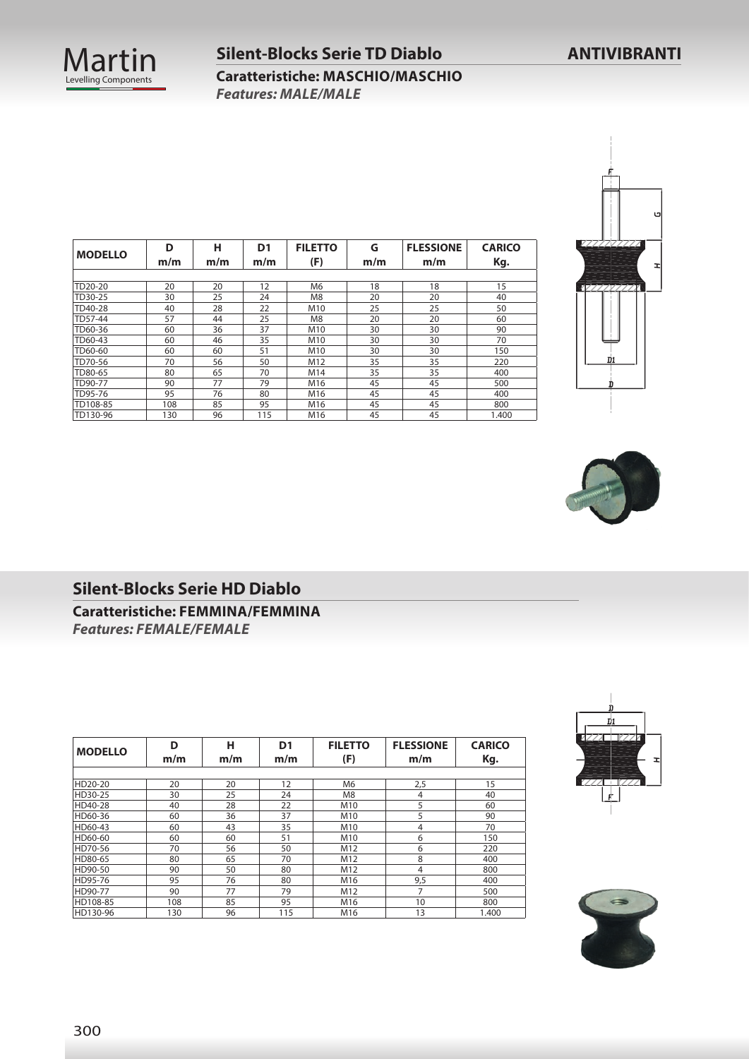

## **Silent-Blocks Serie TD Diablo ANTIVIBRANTI Caratteristiche: MASCHIO/MASCHIO**

*Features: MALE/MALE* 

| <b>MODELLO</b> | D<br>m/m | н<br>m/m | D <sub>1</sub><br>m/m | <b>FILETTO</b><br>(F) | G<br>m/m | <b>FLESSIONE</b><br>m/m | <b>CARICO</b><br>Kg. |
|----------------|----------|----------|-----------------------|-----------------------|----------|-------------------------|----------------------|
|                |          |          |                       |                       |          |                         |                      |
| TD20-20        | 20       | 20       | 12                    | M6                    | 18       | 18                      | 15                   |
| TD30-25        | 30       | 25       | 24                    | M8                    | 20       | 20                      | 40                   |
| TD40-28        | 40       | 28       | 22                    | M10                   | 25       | 25                      | 50                   |
| TD57-44        | 57       | 44       | 25                    | M <sub>8</sub>        | 20       | 20                      | 60                   |
| TD60-36        | 60       | 36       | 37                    | M10                   | 30       | 30                      | 90                   |
| TD60-43        | 60       | 46       | 35                    | M10                   | 30       | 30                      | 70                   |
| TD60-60        | 60       | 60       | 51                    | M10                   | 30       | 30                      | 150                  |
| TD70-56        | 70       | 56       | 50                    | M12                   | 35       | 35                      | 220                  |
| TD80-65        | 80       | 65       | 70                    | M14                   | 35       | 35                      | 400                  |
| TD90-77        | 90       | 77       | 79                    | M16                   | 45       | 45                      | 500                  |
| TD95-76        | 95       | 76       | 80                    | M16                   | 45       | 45                      | 400                  |
| TD108-85       | 108      | 85       | 95                    | M16                   | 45       | 45                      | 800                  |
| TD130-96       | 130      | 96       | 115                   | M16                   | 45       | 45                      | 1.400                |





#### **Silent-Blocks Serie HD Diablo**

**Caratteristiche: FEMMINA/FEMMINA** *Features: FEMALE/FEMALE* 

| <b>MODELLO</b> | D<br>m/m | н<br>m/m | D <sub>1</sub><br>m/m | <b>FILETTO</b><br>(F) | <b>FLESSIONE</b><br>m/m | <b>CARICO</b><br>Kg. |
|----------------|----------|----------|-----------------------|-----------------------|-------------------------|----------------------|
|                |          |          |                       |                       |                         |                      |
| HD20-20        | 20       | 20       | 12                    | M6                    | 2,5                     | 15                   |
| HD30-25        | 30       | 25       | 24                    | M <sub>8</sub>        | 4                       | 40                   |
| HD40-28        | 40       | 28       | 22                    | M10                   | 5                       | 60                   |
| HD60-36        | 60       | 36       | 37                    | M10                   | 5                       | 90                   |
| HD60-43        | 60       | 43       | 35                    | M10                   | 4                       | 70                   |
| HD60-60        | 60       | 60       | 51                    | M <sub>10</sub>       | 6                       | 150                  |
| HD70-56        | 70       | 56       | 50                    | M12                   | 6                       | 220                  |
| HD80-65        | 80       | 65       | 70                    | M12                   | 8                       | 400                  |
| HD90-50        | 90       | 50       | 80                    | M12                   | 4                       | 800                  |
| HD95-76        | 95       | 76       | 80                    | M16                   | 9,5                     | 400                  |
| HD90-77        | 90       | 77       | 79                    | M12                   | 7                       | 500                  |
| HD108-85       | 108      | 85       | 95                    | M16                   | 10                      | 800                  |
| HD130-96       | 130      | 96       | 115                   | M16                   | 13                      | 1.400                |